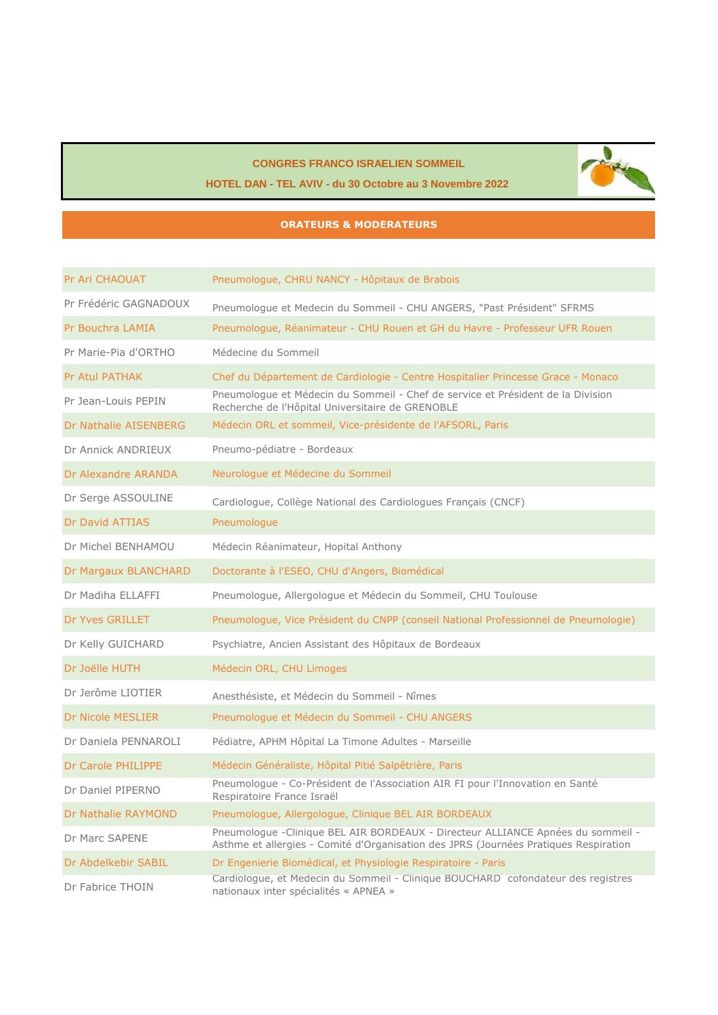#### **CONGRES FRANCO ISRAELIEN SOMMEIL**



#### **HOTEL DAN - TEL AVIV - du 30 Octobre au 3 Novembre 2022**

#### **ORATEURS & MODERATEURS**

| Pr Ari CHAOUAT           | Pneumologue, CHRU NANCY - Hôpitaux de Brabois                                                                                                                           |
|--------------------------|-------------------------------------------------------------------------------------------------------------------------------------------------------------------------|
| Pr Frédéric GAGNADOUX    | Pneumologue et Medecin du Sommeil - CHU ANGERS, "Past Président" SFRMS                                                                                                  |
| Pr Bouchra LAMIA         | Pneumologue, Réanimateur - CHU Rouen et GH du Havre - Professeur UFR Rouen                                                                                              |
| Pr Marie-Pia d'ORTHO     | Médecine du Sommeil                                                                                                                                                     |
| <b>Pr Atul PATHAK</b>    | Chef du Département de Cardiologie - Centre Hospitalier Princesse Grace - Monaco                                                                                        |
| Pr Jean-Louis PEPIN      | Pneumologue et Médecin du Sommeil - Chef de service et Président de la Division<br>Recherche de l'Hôpital Universitaire de GRENOBLE                                     |
| Dr Nathalie AISENBERG    | Médecin ORL et sommeil, Vice-présidente de l'AFSORL, Paris                                                                                                              |
| Dr Annick ANDRIEUX       | Pneumo-pédiatre - Bordeaux                                                                                                                                              |
| Dr Alexandre ARANDA      | Neurologue et Médecine du Sommeil                                                                                                                                       |
| Dr Serge ASSOULINE       | Cardiologue, Collège National des Cardiologues Français (CNCF)                                                                                                          |
| <b>Dr David ATTIAS</b>   | Pneumologue                                                                                                                                                             |
| Dr Michel BENHAMOU       | Médecin Réanimateur, Hopital Anthony                                                                                                                                    |
| Dr Margaux BLANCHARD     | Doctorante à l'ESEO, CHU d'Angers, Biomédical                                                                                                                           |
| Dr Madiha ELLAFFI        | Pneumologue, Allergologue et Médecin du Sommeil, CHU Toulouse                                                                                                           |
| Dr Yves GRILLET          | Pneumologue, Vice Président du CNPP (conseil National Professionnel de Pneumologie)                                                                                     |
| Dr Kelly GUICHARD        | Psychiatre, Ancien Assistant des Hôpitaux de Bordeaux                                                                                                                   |
| Dr Joëlle HUTH           | Médecin ORL, CHU Limoges                                                                                                                                                |
| Dr Jerôme LIOTIER        | Anesthésiste, et Médecin du Sommeil - Nîmes                                                                                                                             |
| <b>Dr Nicole MESLIER</b> | Pneumologue et Médecin du Sommeil - CHU ANGERS                                                                                                                          |
| Dr Daniela PENNAROLI     | Pédiatre, APHM Hôpital La Timone Adultes - Marseille                                                                                                                    |
| Dr Carole PHILIPPE       | Médecin Généraliste, Hôpital Pitié Salpêtrière, Paris                                                                                                                   |
| Dr Daniel PIPERNO        | Pneumologue - Co-Président de l'Association AIR FI pour l'Innovation en Santé<br>Respiratoire France Israël                                                             |
| Dr Nathalie RAYMOND      | Pneumologue, Allergologue, Clinique BEL AIR BORDEAUX                                                                                                                    |
| Dr Marc SAPENE           | Pneumologue -Clinique BEL AIR BORDEAUX - Directeur ALLIANCE Apnées du sommeil -<br>Asthme et allergies - Comité d'Organisation des JPRS (Journées Pratiques Respiration |
| Dr Abdelkebir SABIL      | Dr Engenierie Biomédical, et Physiologie Respiratoire - Paris                                                                                                           |
| Dr Fabrice THOIN         | Cardiologue, et Medecin du Sommeil - Clinique BOUCHARD cofondateur des registres<br>nationaux inter spécialités « APNEA »                                               |